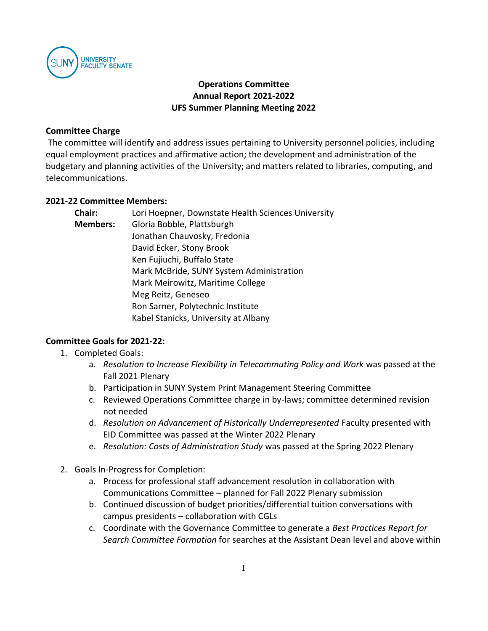

## **Operations Committee Annual Report 2021-2022 UFS Summer Planning Meeting 2022**

#### **Committee Charge**

The committee will identify and address issues pertaining to University personnel policies, including equal employment practices and affirmative action; the development and administration of the budgetary and planning activities of the University; and matters related to libraries, computing, and telecommunications.

#### **2021-22 Committee Members:**

| <b>Chair:</b>   | Lori Hoepner, Downstate Health Sciences University |
|-----------------|----------------------------------------------------|
| <b>Members:</b> | Gloria Bobble, Plattsburgh                         |
|                 | Jonathan Chauvosky, Fredonia                       |
|                 | David Ecker, Stony Brook                           |
|                 | Ken Fujiuchi, Buffalo State                        |
|                 | Mark McBride, SUNY System Administration           |
|                 | Mark Meirowitz, Maritime College                   |
|                 | Meg Reitz, Geneseo                                 |
|                 | Ron Sarner, Polytechnic Institute                  |
|                 | Kabel Stanicks, University at Albany               |

### **Committee Goals for 2021-22:**

- 1. Completed Goals:
	- a. *Resolution to Increase Flexibility in Telecommuting Policy and Work* was passed at the Fall 2021 Plenary
	- b. Participation in SUNY System Print Management Steering Committee
	- c. Reviewed Operations Committee charge in by-laws; committee determined revision not needed
	- d. *Resolution on Advancement of Historically Underrepresented* Faculty presented with EID Committee was passed at the Winter 2022 Plenary
	- e. *Resolution: Costs of Administration Study* was passed at the Spring 2022 Plenary
- 2. Goals In-Progress for Completion:
	- a. Process for professional staff advancement resolution in collaboration with Communications Committee – planned for Fall 2022 Plenary submission
	- b. Continued discussion of budget priorities/differential tuition conversations with campus presidents – collaboration with CGLs
	- c. Coordinate with the Governance Committee to generate a *Best Practices Report for Search Committee Formation* for searches at the Assistant Dean level and above within